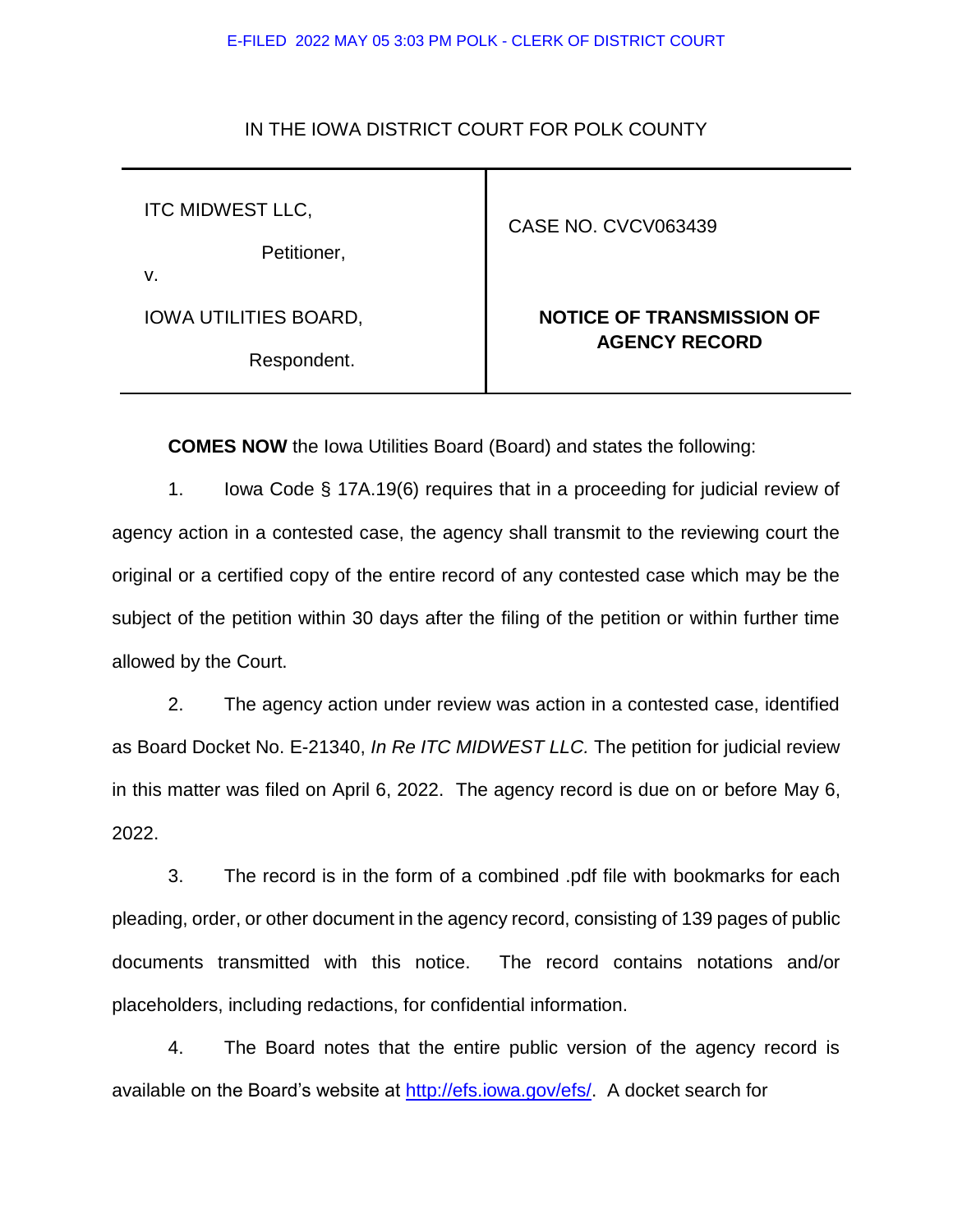#### E-FILED 2022 MAY 05 3:03 PM POLK - CLERK OF DISTRICT COURT

#### IN THE IOWA DISTRICT COURT FOR POLK COUNTY

ITC MIDWEST LLC,

Petitioner,

v.

IOWA UTILITIES BOARD,

Respondent.

### CASE NO. CVCV063439

# **NOTICE OF TRANSMISSION OF AGENCY RECORD**

**COMES NOW** the Iowa Utilities Board (Board) and states the following:

1. Iowa Code § 17A.19(6) requires that in a proceeding for judicial review of agency action in a contested case, the agency shall transmit to the reviewing court the original or a certified copy of the entire record of any contested case which may be the subject of the petition within 30 days after the filing of the petition or within further time allowed by the Court.

2. The agency action under review was action in a contested case, identified as Board Docket No. E-21340, *In Re ITC MIDWEST LLC.* The petition for judicial review in this matter was filed on April 6, 2022. The agency record is due on or before May 6, 2022.

3. The record is in the form of a combined .pdf file with bookmarks for each pleading, order, or other document in the agency record, consisting of 139 pages of public documents transmitted with this notice. The record contains notations and/or placeholders, including redactions, for confidential information.

4. The Board notes that the entire public version of the agency record is available on the Board's website at [http://efs.iowa.gov/efs/.](http://efs.iowa.gov/efs/) A docket search for